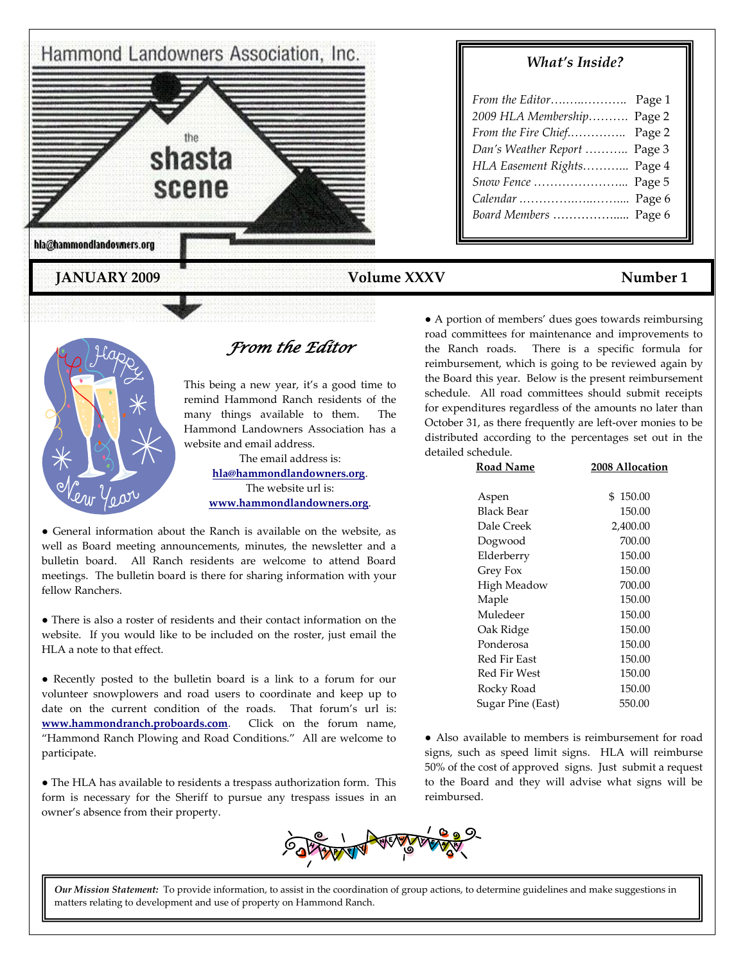

## *What's Inside?*

| 2009 HLA Membership Page 2   |  |
|------------------------------|--|
| From the Fire Chief Page 2   |  |
| Dan's Weather Report  Page 3 |  |
| HLA Easement Rights Page 4   |  |
| Snow Fence  Page 5           |  |
| Calendar  Page 6             |  |
| Board Members  Page 6        |  |
|                              |  |

## **JANUARY 2009** Volume XXXV Volume XXXV Number 1



*From the Editor* 

This being a new year, it's a good time to remind Hammond Ranch residents of the many things available to them. The Hammond Landowners Association has a website and email address.

> The email address is: **[hla@hammondlandowners.org](mailto:hla@hammondlandowners.org)**. The website url is: **[www.hammondlandowners.org](http://www.hammondlandowners.org/)**.

● General information about the Ranch is available on the website, as well as Board meeting announcements, minutes, the newsletter and a bulletin board. All Ranch residents are welcome to attend Board meetings. The bulletin board is there for sharing information with your fellow Ranchers.

● There is also a roster of residents and their contact information on the website. If you would like to be included on the roster, just email the HLA a note to that effect.

● Recently posted to the bulletin board is a link to a forum for our volunteer snowplowers and road users to coordinate and keep up to date on the current condition of the roads. That forum's url is: **[www.hammondranch.proboards.com](http://www.hammondranch.proboards.com/)**. Click on the forum name, "Hammond Ranch Plowing and Road Conditions." All are welcome to participate.

● The HLA has available to residents a trespass authorization form. This form is necessary for the Sheriff to pursue any trespass issues in an owner's absence from their property.

● A portion of members' dues goes towards reimbursing road committees for maintenance and improvements to the Ranch roads. There is a specific formula for reimbursement, which is going to be reviewed again by the Board this year. Below is the present reimbursement schedule. All road committees should submit receipts for expenditures regardless of the amounts no later than October 31, as there frequently are left-over monies to be distributed according to the percentages set out in the detailed schedule.

| Road Name           | 2008 Allocation |
|---------------------|-----------------|
|                     |                 |
| Aspen               | 150.00<br>\$    |
| Black Bear          | 150.00          |
| Dale Creek          | 2,400.00        |
| Dogwood             | 700.00          |
| Elderberry          | 150.00          |
| Grey Fox            | 150.00          |
| High Meadow         | 700.00          |
| Maple               | 150.00          |
| Muledeer            | 150.00          |
| Oak Ridge           | 150.00          |
| Ponderosa           | 150.00          |
| Red Fir East        | 150.00          |
| <b>Red Fir West</b> | 150.00          |
| Rocky Road          | 150.00          |
| Sugar Pine (East)   | 550.00          |
|                     |                 |

● Also available to members is reimbursement for road signs, such as speed limit signs. HLA will reimburse 50% of the cost of approved signs. Just submit a request to the Board and they will advise what signs will be reimbursed.



*Our Mission Statement:* To provide information, to assist in the coordination of group actions, to determine guidelines and make suggestions in matters relating to development and use of property on Hammond Ranch.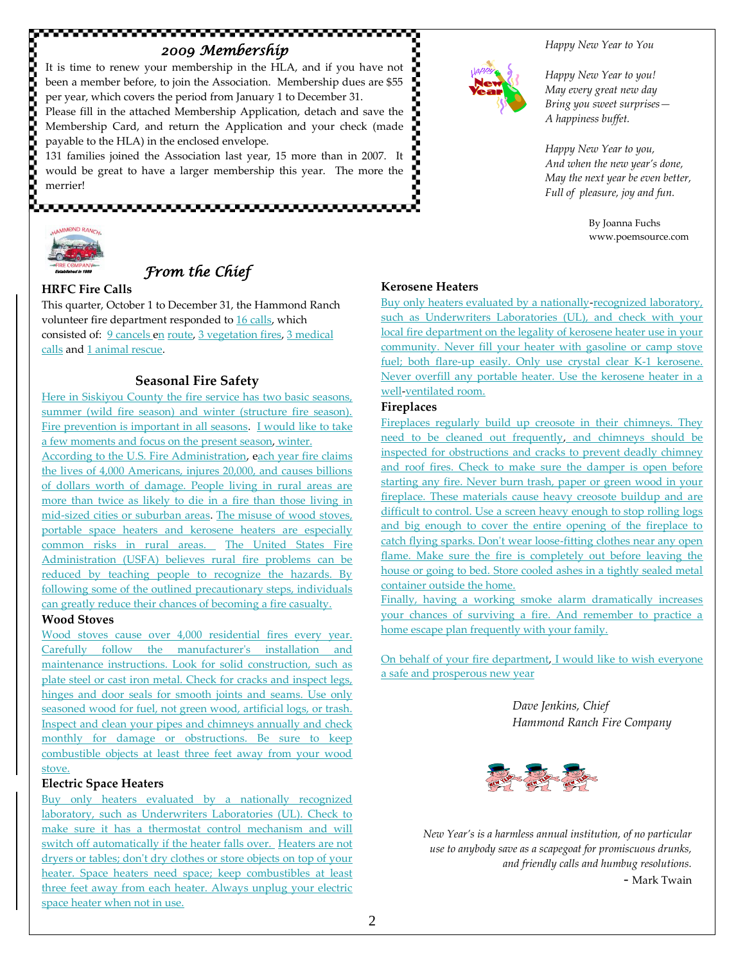## *2009 Membership*

It is time to renew your membership in the HLA, and if you have not been a member before, to join the Association. Membership dues are \$55 per year, which covers the period from January 1 to December 31.

Please fill in the attached Membership Application, detach and save the Membership Card, and return the Application and your check (made payable to the HLA) in the enclosed envelope.

131 families joined the Association last year, 15 more than in 2007. It would be great to have a larger membership this year. The more the merrier!



# *From the Chief*

### **HRFC Fire Calls**

This quarter, October 1 to December 31, the Hammond Ranch volunteer fire department responded to 16 calls, which consisted of: 9 cancels en route, 3 vegetation fires, 3 medical calls and 1 animal rescue.

### **Seasonal Fire Safety**

Here in Siskiyou County the fire service has two basic seasons, summer (wild fire season) and winter (structure fire season). Fire prevention is important in all seasons. I would like to take a few moments and focus on the present season, winter.

According to the U.S. Fire Administration, each year fire claims the lives of 4,000 Americans, injures 20,000, and causes billions of dollars worth of damage. People living in rural areas are more than twice as likely to die in a fire than those living in mid-sized cities or suburban areas. The misuse of wood stoves, portable space heaters and kerosene heaters are especially common risks in rural areas. The United States Fire Administration (USFA) believes rural fire problems can be reduced by teaching people to recognize the hazards. By following some of the outlined precautionary steps, individuals can greatly reduce their chances of becoming a fire casualty.

#### **Wood Stoves**

Wood stoves cause over 4,000 residential fires every year. Carefully follow the manufacturer's installation and maintenance instructions. Look for solid construction, such as plate steel or cast iron metal. Check for cracks and inspect legs, hinges and door seals for smooth joints and seams. Use only seasoned wood for fuel, not green wood, artificial logs, or trash. Inspect and clean your pipes and chimneys annually and check monthly for damage or obstructions. Be sure to keep combustible objects at least three feet away from your wood stove.

#### **Electric Space Heaters**

Buy only heaters evaluated by a nationally recognized laboratory, such as Underwriters Laboratories (UL). Check to make sure it has a thermostat control mechanism and will switch off automatically if the heater falls over. Heaters are not dryers or tables; don't dry clothes or store objects on top of your heater. Space heaters need space; keep combustibles at least three feet away from each heater. Always unplug your electric space heater when not in use.



#### *Happy New Year to You*

*Happy New Year to you! May every great new day Bring you sweet surprises— A happiness buffet.*

*Happy New Year to you, And when the new year's done, May the next year be even better, Full of pleasure, joy and fun.*

> By Joanna Fuchs www.poemsource.com

#### **Kerosene Heaters**

Buy only heaters evaluated by a nationally-recognized laboratory, such as Underwriters Laboratories (UL), and check with your local fire department on the legality of kerosene heater use in your community. Never fill your heater with gasoline or camp stove fuel; both flare-up easily. Only use crystal clear K-1 kerosene. Never overfill any portable heater. Use the kerosene heater in a well-ventilated room.

#### **Fireplaces**

Fireplaces regularly build up creosote in their chimneys. They need to be cleaned out frequently, and chimneys should be inspected for obstructions and cracks to prevent deadly chimney and roof fires. Check to make sure the damper is open before starting any fire. Never burn trash, paper or green wood in your fireplace. These materials cause heavy creosote buildup and are difficult to control. Use a screen heavy enough to stop rolling logs and big enough to cover the entire opening of the fireplace to catch flying sparks. Don't wear loose-fitting clothes near any open flame. Make sure the fire is completely out before leaving the house or going to bed. Store cooled ashes in a tightly sealed metal container outside the home.

Finally, having a working smoke alarm dramatically increases your chances of surviving a fire. And remember to practice a home escape plan frequently with your family.

On behalf of your fire department, I would like to wish everyone a safe and prosperous new year

> *Dave Jenkins, Chief Hammond Ranch Fire Company*



*New Year's is a harmless annual institution, of no particular use to anybody save as a scapegoat for promiscuous drunks, and friendly calls and humbug resolutions.* - Mark Twain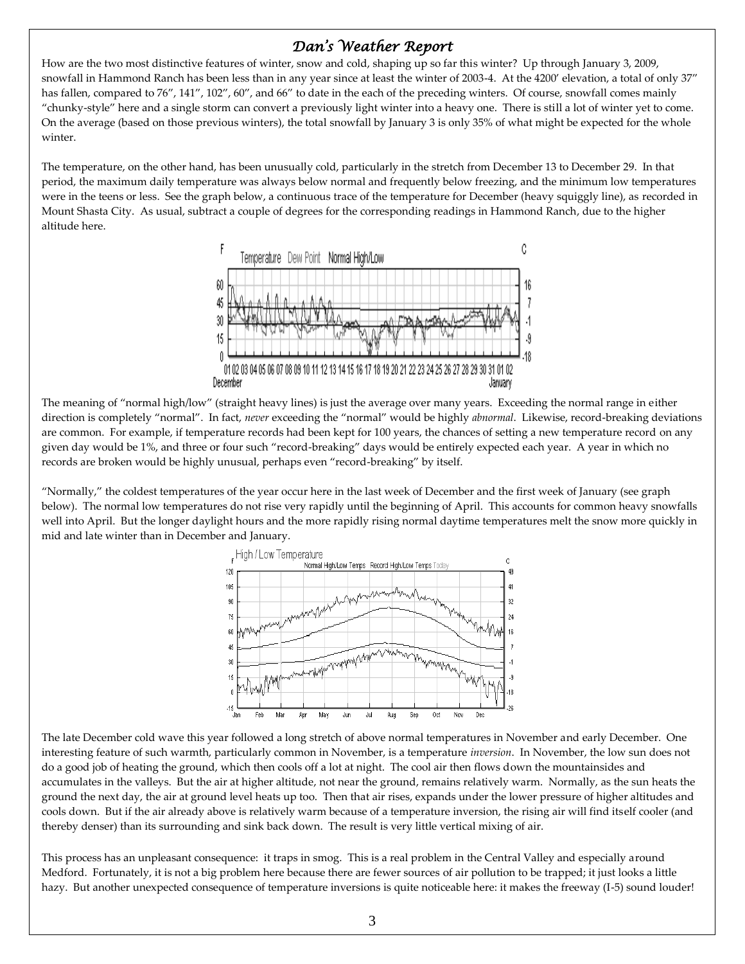# *Dan's Weather Report*

How are the two most distinctive features of winter, snow and cold, shaping up so far this winter? Up through January 3, 2009, snowfall in Hammond Ranch has been less than in any year since at least the winter of 2003-4. At the 4200' elevation, a total of only 37" has fallen, compared to 76", 141", 102", 60", and 66" to date in the each of the preceding winters. Of course, snowfall comes mainly "chunky-style" here and a single storm can convert a previously light winter into a heavy one. There is still a lot of winter yet to come. On the average (based on those previous winters), the total snowfall by January 3 is only 35% of what might be expected for the whole winter.

The temperature, on the other hand, has been unusually cold, particularly in the stretch from December 13 to December 29. In that period, the maximum daily temperature was always below normal and frequently below freezing, and the minimum low temperatures were in the teens or less. See the graph below, a continuous trace of the temperature for December (heavy squiggly line), as recorded in Mount Shasta City. As usual, subtract a couple of degrees for the corresponding readings in Hammond Ranch, due to the higher altitude here.



The meaning of "normal high/low" (straight heavy lines) is just the average over many years. Exceeding the normal range in either direction is completely "normal". In fact, *never* exceeding the "normal" would be highly *abnormal*. Likewise, record-breaking deviations are common. For example, if temperature records had been kept for 100 years, the chances of setting a new temperature record on any given day would be 1%, and three or four such "record-breaking" days would be entirely expected each year. A year in which no records are broken would be highly unusual, perhaps even "record-breaking" by itself.

"Normally," the coldest temperatures of the year occur here in the last week of December and the first week of January (see graph below). The normal low temperatures do not rise very rapidly until the beginning of April. This accounts for common heavy snowfalls well into April. But the longer daylight hours and the more rapidly rising normal daytime temperatures melt the snow more quickly in mid and late winter than in December and January.



The late December cold wave this year followed a long stretch of above normal temperatures in November and early December. One interesting feature of such warmth, particularly common in November, is a temperature *inversion*. In November, the low sun does not do a good job of heating the ground, which then cools off a lot at night. The cool air then flows down the mountainsides and accumulates in the valleys. But the air at higher altitude, not near the ground, remains relatively warm. Normally, as the sun heats the ground the next day, the air at ground level heats up too. Then that air rises, expands under the lower pressure of higher altitudes and cools down. But if the air already above is relatively warm because of a temperature inversion, the rising air will find itself cooler (and thereby denser) than its surrounding and sink back down. The result is very little vertical mixing of air.

This process has an unpleasant consequence: it traps in smog. This is a real problem in the Central Valley and especially around Medford. Fortunately, it is not a big problem here because there are fewer sources of air pollution to be trapped; it just looks a little hazy. But another unexpected consequence of temperature inversions is quite noticeable here: it makes the freeway (I-5) sound louder!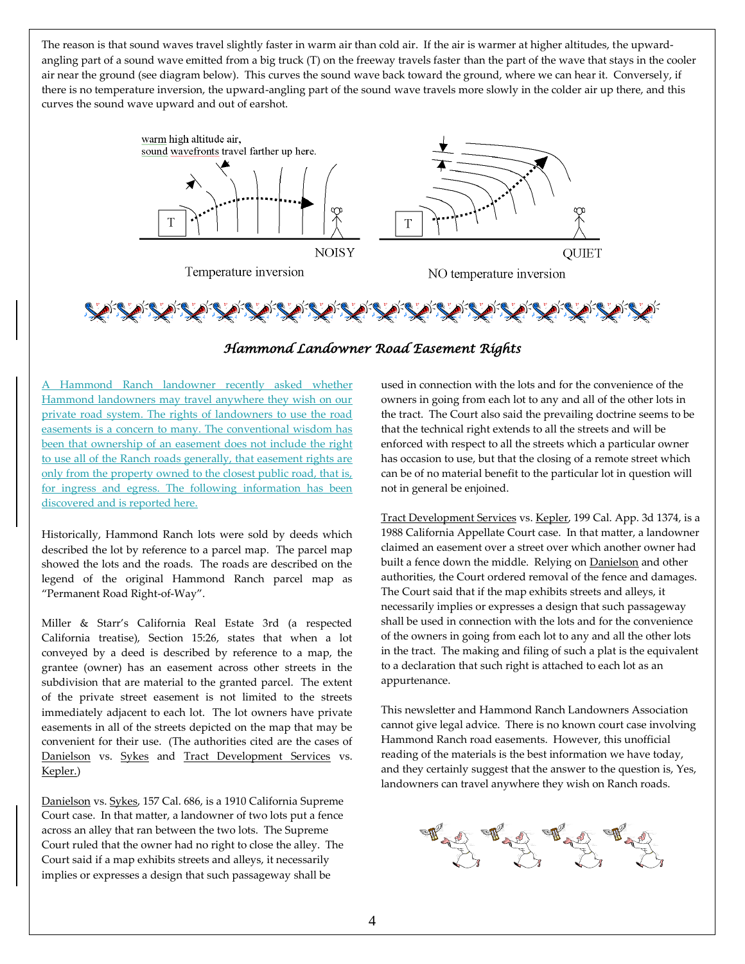The reason is that sound waves travel slightly faster in warm air than cold air. If the air is warmer at higher altitudes, the upwardangling part of a sound wave emitted from a big truck (T) on the freeway travels faster than the part of the wave that stays in the cooler air near the ground (see diagram below). This curves the sound wave back toward the ground, where we can hear it. Conversely, if there is no temperature inversion, the upward-angling part of the sound wave travels more slowly in the colder air up there, and this curves the sound wave upward and out of earshot.



## *Hammond Landowner Road Easement Rights*

A Hammond Ranch landowner recently asked whether Hammond landowners may travel anywhere they wish on our private road system. The rights of landowners to use the road easements is a concern to many. The conventional wisdom has been that ownership of an easement does not include the right to use all of the Ranch roads generally, that easement rights are only from the property owned to the closest public road, that is, for ingress and egress. The following information has been discovered and is reported here.

Historically, Hammond Ranch lots were sold by deeds which described the lot by reference to a parcel map. The parcel map showed the lots and the roads. The roads are described on the legend of the original Hammond Ranch parcel map as "Permanent Road Right-of-Way".

Miller & Starr's California Real Estate 3rd (a respected California treatise), Section 15:26, states that when a lot conveyed by a deed is described by reference to a map, the grantee (owner) has an easement across other streets in the subdivision that are material to the granted parcel. The extent of the private street easement is not limited to the streets immediately adjacent to each lot. The lot owners have private easements in all of the streets depicted on the map that may be convenient for their use. (The authorities cited are the cases of Danielson vs. Sykes and Tract Development Services vs. Kepler.)

Danielson vs. Sykes, 157 Cal. 686, is a 1910 California Supreme Court case. In that matter, a landowner of two lots put a fence across an alley that ran between the two lots. The Supreme Court ruled that the owner had no right to close the alley. The Court said if a map exhibits streets and alleys, it necessarily implies or expresses a design that such passageway shall be

used in connection with the lots and for the convenience of the owners in going from each lot to any and all of the other lots in the tract. The Court also said the prevailing doctrine seems to be that the technical right extends to all the streets and will be enforced with respect to all the streets which a particular owner has occasion to use, but that the closing of a remote street which can be of no material benefit to the particular lot in question will not in general be enjoined.

Tract Development Services vs. Kepler, 199 Cal. App. 3d 1374, is a 1988 California Appellate Court case. In that matter, a landowner claimed an easement over a street over which another owner had built a fence down the middle. Relying on Danielson and other authorities, the Court ordered removal of the fence and damages. The Court said that if the map exhibits streets and alleys, it necessarily implies or expresses a design that such passageway shall be used in connection with the lots and for the convenience of the owners in going from each lot to any and all the other lots in the tract. The making and filing of such a plat is the equivalent to a declaration that such right is attached to each lot as an appurtenance.

This newsletter and Hammond Ranch Landowners Association cannot give legal advice. There is no known court case involving Hammond Ranch road easements. However, this unofficial reading of the materials is the best information we have today, and they certainly suggest that the answer to the question is, Yes, landowners can travel anywhere they wish on Ranch roads.

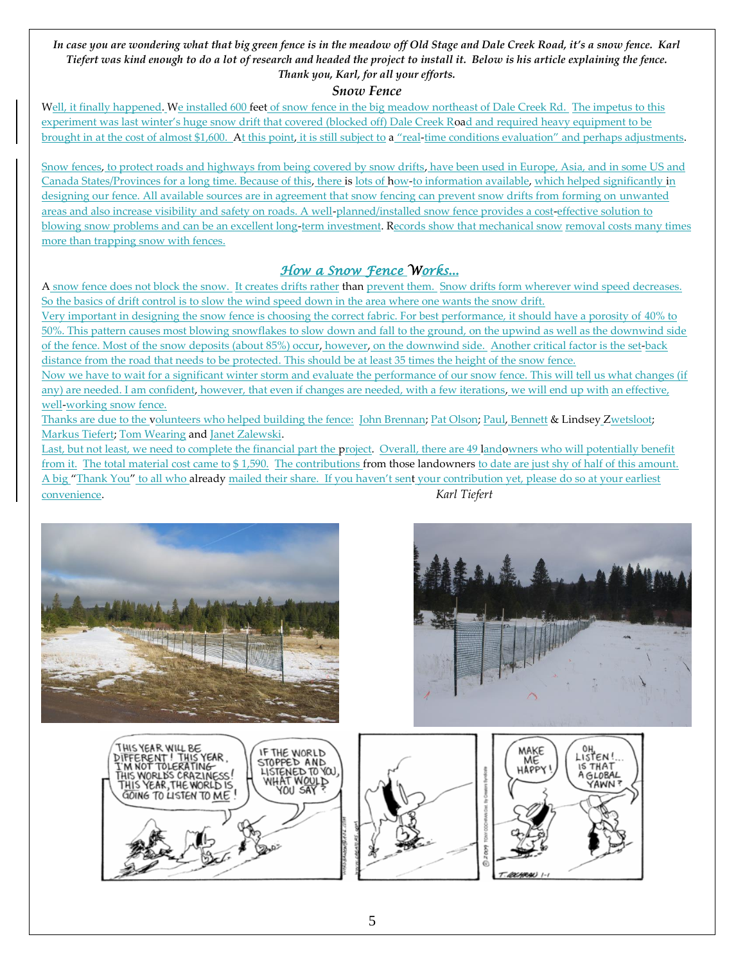#### *In case you are wondering what that big green fence is in the meadow off Old Stage and Dale Creek Road, it's a snow fence. Karl Tiefert was kind enough to do a lot of research and headed the project to install it. Below is his article explaining the fence. Thank you, Karl, for all your efforts.*

## *Snow Fence*

Well, it finally happened. We installed 600 feet of snow fence in the big meadow northeast of Dale Creek Rd. The impetus to this experiment was last winter's huge snow drift that covered (blocked off) Dale Creek Road and required heavy equipment to be brought in at the cost of almost \$1,600. At this point, it is still subject to a "real-time conditions evaluation" and perhaps adjustments.

Snow fences, to protect roads and highways from being covered by snow drifts, have been used in Europe, Asia, and in some US and Canada States/Provinces for a long time. Because of this, there is lots of how-to information available, which helped significantly in designing our fence. All available sources are in agreement that snow fencing can prevent snow drifts from forming on unwanted areas and also increase visibility and safety on roads. A well-planned/installed snow fence provides a cost-effective solution to blowing snow problems and can be an excellent long-term investment. Records show that mechanical snow removal costs many times more than trapping snow with fences.

# *How a Snow Fence Works...*

A snow fence does not block the snow. It creates drifts rather than prevent them. Snow drifts form wherever wind speed decreases. So the basics of drift control is to slow the wind speed down in the area where one wants the snow drift.

Very important in designing the snow fence is choosing the correct fabric. For best performance, it should have a porosity of 40% to 50%. This pattern causes most blowing snowflakes to slow down and fall to the ground, on the upwind as well as the downwind side of the fence. Most of the snow deposits (about 85%) occur, however, on the downwind side. Another critical factor is the set-back distance from the road that needs to be protected. This should be at least 35 times the height of the snow fence.

Now we have to wait for a significant winter storm and evaluate the performance of our snow fence. This will tell us what changes (if any) are needed. I am confident, however, that even if changes are needed, with a few iterations, we will end up with an effective, well-working snow fence.

Thanks are due to the volunteers who helped building the fence: John Brennan; Pat Olson; Paul, Bennett & Lindsey Zwetsloot; Markus Tiefert; Tom Wearing and Janet Zalewski.

Last, but not least, we need to complete the financial part the project. Overall, there are 49 landowners who will potentially benefit from it. The total material cost came to \$1,590. The contributions from those landowners to date are just shy of half of this amount. A big "Thank You" to all who already mailed their share. If you haven't sent your contribution yet, please do so at your earliest convenience. *Karl Tiefert*